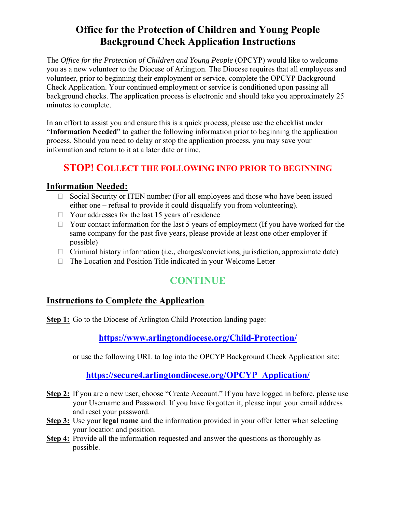## **Office for the Protection of Children and Young People Background Check Application Instructions**

The *Office for the Protection of Children and Young People* (OPCYP) would like to welcome you as a new volunteer to the Diocese of Arlington. The Diocese requires that all employees and volunteer, prior to beginning their employment or service, complete the OPCYP Background Check Application. Your continued employment or service is conditioned upon passing all background checks. The application process is electronic and should take you approximately 25 minutes to complete.

In an effort to assist you and ensure this is a quick process, please use the checklist under "**Information Needed**" to gather the following information prior to beginning the application process. Should you need to delay or stop the application process, you may save your information and return to it at a later date or time.

### **STOP! COLLECT THE FOLLOWING INFO PRIOR TO BEGINNING**

### **Information Needed:**

- $\Box$  Social Security or ITEN number (For all employees and those who have been issued either one – refusal to provide it could disqualify you from volunteering).
- $\Box$  Your addresses for the last 15 years of residence
- $\Box$  Your contact information for the last 5 years of employment (If you have worked for the same company for the past five years, please provide at least one other employer if possible)
- $\Box$  Criminal history information (i.e., charges/convictions, jurisdiction, approximate date)
- $\Box$  The Location and Position Title indicated in your Welcome Letter

# **CONTINUE**

### **Instructions to Complete the Application**

**Step 1:** Go to the Diocese of Arlington Child Protection landing page:

### **https://www.arlingtondiocese.org/Child-Protection/**

or use the following URL to log into the OPCYP Background Check Application site:

### **https://secure4.arlingtondiocese.org/OPCYP\_Application/**

- **Step 2:** If you are a new user, choose "Create Account." If you have logged in before, please use your Username and Password. If you have forgotten it, please input your email address and reset your password.
- **Step 3:** Use your **legal name** and the information provided in your offer letter when selecting your location and position.
- **Step 4:** Provide all the information requested and answer the questions as thoroughly as possible.